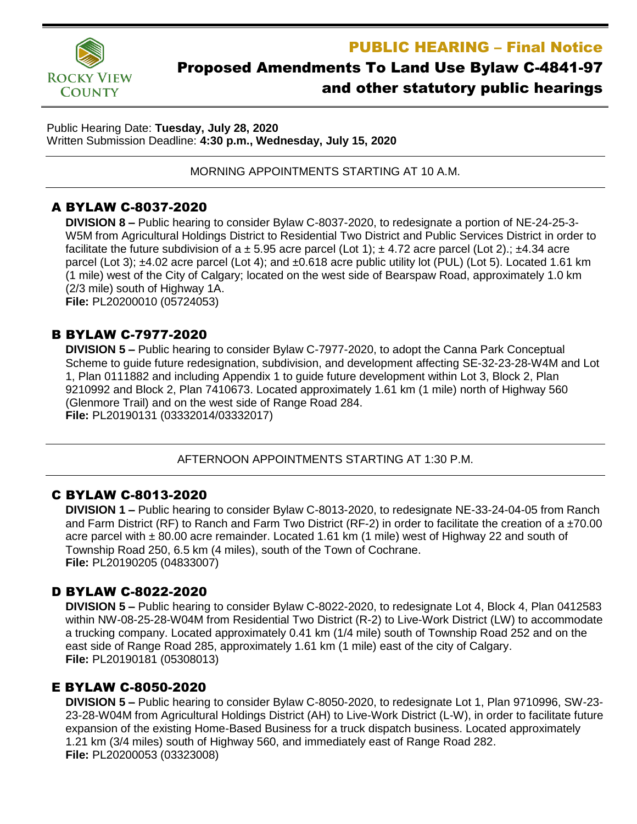**ROCKY VIEW COUNTY** 

# PUBLIC HEARING – Final Notice

# Proposed Amendments To Land Use Bylaw C-4841-97 and other statutory public hearings

Public Hearing Date: **Tuesday, July 28, 2020** Written Submission Deadline: **4:30 p.m., Wednesday, July 15, 2020**

MORNING APPOINTMENTS STARTING AT 10 A.M.

# A BYLAW C-8037-2020

**DIVISION 8 –** Public hearing to consider Bylaw C-8037-2020, to redesignate a portion of NE-24-25-3- W5M from Agricultural Holdings District to Residential Two District and Public Services District in order to facilitate the future subdivision of a  $\pm$  5.95 acre parcel (Lot 1);  $\pm$  4.72 acre parcel (Lot 2).;  $\pm$ 4.34 acre parcel (Lot 3); ±4.02 acre parcel (Lot 4); and ±0.618 acre public utility lot (PUL) (Lot 5). Located 1.61 km (1 mile) west of the City of Calgary; located on the west side of Bearspaw Road, approximately 1.0 km (2/3 mile) south of Highway 1A. **File:** PL20200010 (05724053)

### B BYLAW C-7977-2020

**DIVISION 5 –** Public hearing to consider Bylaw C-7977-2020, to adopt the Canna Park Conceptual Scheme to guide future redesignation, subdivision, and development affecting SE-32-23-28-W4M and Lot 1, Plan 0111882 and including Appendix 1 to guide future development within Lot 3, Block 2, Plan 9210992 and Block 2, Plan 7410673. Located approximately 1.61 km (1 mile) north of Highway 560 (Glenmore Trail) and on the west side of Range Road 284. **File:** PL20190131 (03332014/03332017)

#### AFTERNOON APPOINTMENTS STARTING AT 1:30 P.M.

# C BYLAW C-8013-2020

**DIVISION 1 –** Public hearing to consider Bylaw C-8013-2020, to redesignate NE-33-24-04-05 from Ranch and Farm District (RF) to Ranch and Farm Two District (RF-2) in order to facilitate the creation of a  $\pm$ 70.00 acre parcel with ± 80.00 acre remainder. Located 1.61 km (1 mile) west of Highway 22 and south of Township Road 250, 6.5 km (4 miles), south of the Town of Cochrane. **File:** PL20190205 (04833007)

# D BYLAW C-8022-2020

**DIVISION 5 –** Public hearing to consider Bylaw C-8022-2020, to redesignate Lot 4, Block 4, Plan 0412583 within NW-08-25-28-W04M from Residential Two District (R-2) to Live-Work District (LW) to accommodate a trucking company. Located approximately 0.41 km (1/4 mile) south of Township Road 252 and on the east side of Range Road 285, approximately 1.61 km (1 mile) east of the city of Calgary. **File:** PL20190181 (05308013)

# E BYLAW C-8050-2020

**DIVISION 5 –** Public hearing to consider Bylaw C-8050-2020, to redesignate Lot 1, Plan 9710996, SW-23- 23-28-W04M from Agricultural Holdings District (AH) to Live-Work District (L-W), in order to facilitate future expansion of the existing Home-Based Business for a truck dispatch business. Located approximately 1.21 km (3/4 miles) south of Highway 560, and immediately east of Range Road 282. **File:** PL20200053 (03323008)